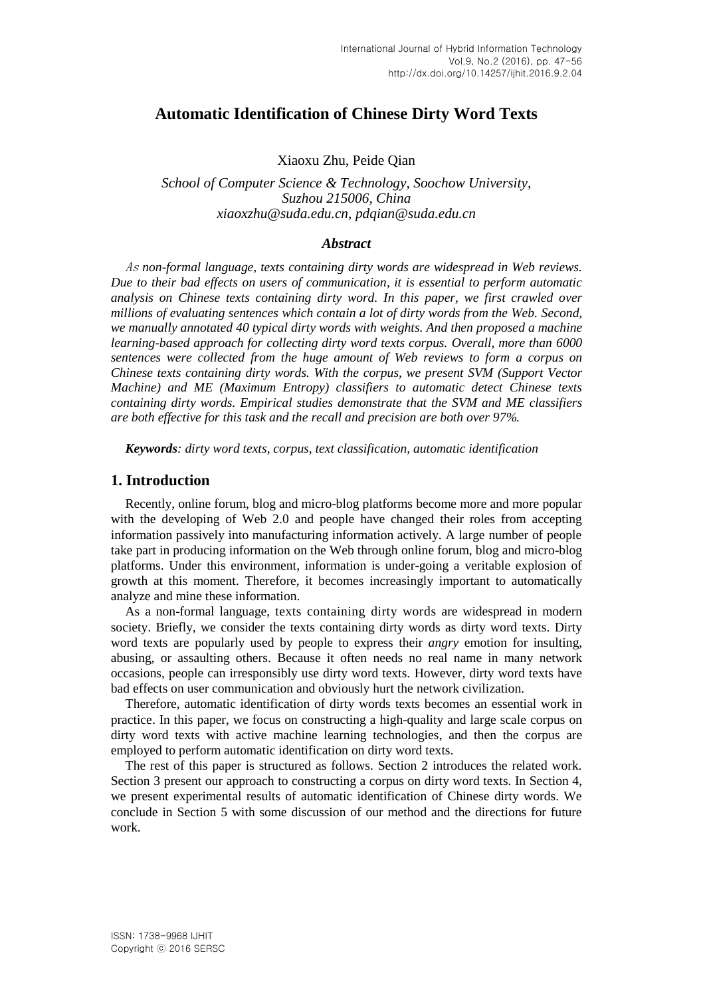# **Automatic Identification of Chinese Dirty Word Texts**

Xiaoxu Zhu, Peide Qian

*School of Computer Science & Technology, Soochow University, Suzhou 215006, China xiaoxzhu@suda.edu.cn, pdqian@suda.edu.cn*

### *Abstract*

As *non-formal language, texts containing dirty words are widespread in Web reviews. Due to their bad effects on users of communication, it is essential to perform automatic analysis on Chinese texts containing dirty word. In this paper, we first crawled over millions of evaluating sentences which contain a lot of dirty words from the Web. Second, we manually annotated 40 typical dirty words with weights. And then proposed a machine learning-based approach for collecting dirty word texts corpus. Overall, more than 6000 sentences were collected from the huge amount of Web reviews to form a corpus on Chinese texts containing dirty words. With the corpus, we present SVM (Support Vector Machine) and ME (Maximum Entropy) classifiers to automatic detect Chinese texts containing dirty words. Empirical studies demonstrate that the SVM and ME classifiers are both effective for this task and the recall and precision are both over 97%.*

*Keywords: dirty word texts, corpus, text classification, automatic identification*

## **1. Introduction**

Recently, online forum, blog and micro-blog platforms become more and more popular with the developing of Web 2.0 and people have changed their roles from accepting information passively into manufacturing information actively. A large number of people take part in producing information on the Web through online forum, blog and micro-blog platforms. Under this environment, information is under-going a veritable explosion of growth at this moment. Therefore, it becomes increasingly important to automatically analyze and mine these information.

As a non-formal language, texts containing dirty words are widespread in modern society. Briefly, we consider the texts containing dirty words as dirty word texts. Dirty word texts are popularly used by people to express their *angry* emotion for insulting, abusing, or assaulting others. Because it often needs no real name in many network occasions, people can irresponsibly use dirty word texts. However, dirty word texts have bad effects on user communication and obviously hurt the network civilization.

Therefore, automatic identification of dirty words texts becomes an essential work in practice. In this paper, we focus on constructing a high-quality and large scale corpus on dirty word texts with active machine learning technologies, and then the corpus are employed to perform automatic identification on dirty word texts.

The rest of this paper is structured as follows. Section 2 introduces the related work. Section 3 present our approach to constructing a corpus on dirty word texts. In Section 4, we present experimental results of automatic identification of Chinese dirty words. We conclude in Section 5 with some discussion of our method and the directions for future work.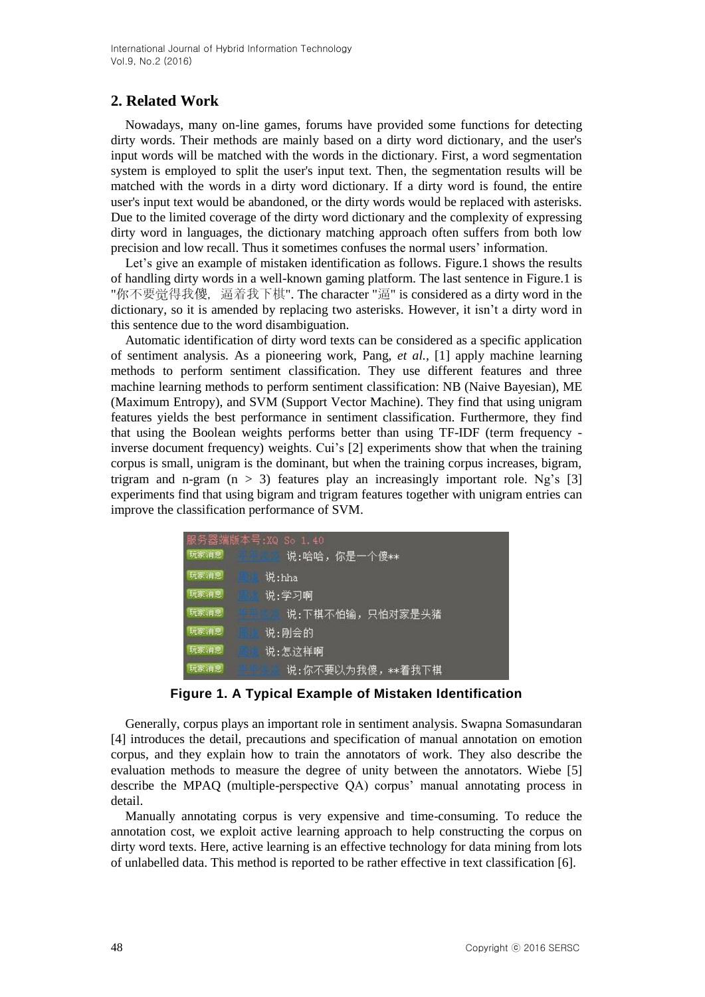## **2. Related Work**

Nowadays, many on-line games, forums have provided some functions for detecting dirty words. Their methods are mainly based on a dirty word dictionary, and the user's input words will be matched with the words in the dictionary. First, a word segmentation system is employed to split the user's input text. Then, the segmentation results will be matched with the words in a dirty word dictionary. If a dirty word is found, the entire user's input text would be abandoned, or the dirty words would be replaced with asterisks. Due to the limited coverage of the dirty word dictionary and the complexity of expressing dirty word in languages, the dictionary matching approach often suffers from both low precision and low recall. Thus it sometimes confuses the normal users" information.

Let's give an example of mistaken identification as follows. Figure.1 shows the results of handling dirty words in a well-known gaming platform. The last sentence in Figure.1 is "你不要觉得我傻, 逼着我下棋". The character "逼" is considered as a dirty word in the dictionary, so it is amended by replacing two asterisks. However, it isn't a dirty word in this sentence due to the word disambiguation.

Automatic identification of dirty word texts can be considered as a specific application of sentiment analysis. As a pioneering work, Pang, *et al.,* [1] apply machine learning methods to perform sentiment classification. They use different features and three machine learning methods to perform sentiment classification: NB (Naive Bayesian), ME (Maximum Entropy), and SVM (Support Vector Machine). They find that using unigram features yields the best performance in sentiment classification. Furthermore, they find that using the Boolean weights performs better than using TF-IDF (term frequency inverse document frequency) weights. Cui's [2] experiments show that when the training corpus is small, unigram is the dominant, but when the training corpus increases, bigram, trigram and n-gram  $(n > 3)$  features play an increasingly important role. Ng's [3] experiments find that using bigram and trigram features together with unigram entries can improve the classification performance of SVM.

| 服务器端版本号:XQ So 1.40<br>玩家消息<br><b>BARBOR</b> | 说:哈哈,你是一个傻**     |
|---------------------------------------------|------------------|
| 玩家消息                                        | 说:hha            |
| 玩家消息                                        | 说:学习啊            |
| 玩家消息                                        | 说:下棋不怕输,只怕对家是头猪  |
| 玩家消息                                        | 说:刚会的            |
| 玩家消息                                        | 说:怎这样啊           |
| 玩家消息                                        | 说:你不要以为我傻,**着我下棋 |

**Figure 1. A Typical Example of Mistaken Identification**

Generally, corpus plays an important role in sentiment analysis. Swapna Somasundaran [4] introduces the detail, precautions and specification of manual annotation on emotion corpus, and they explain how to train the annotators of work. They also describe the evaluation methods to measure the degree of unity between the annotators. Wiebe [5] describe the MPAQ (multiple-perspective QA) corpus' manual annotating process in detail.

Manually annotating corpus is very expensive and time-consuming. To reduce the annotation cost, we exploit active learning approach to help constructing the corpus on dirty word texts. Here, active learning is an effective technology for data mining from lots of unlabelled data. This method is reported to be rather effective in text classification [6].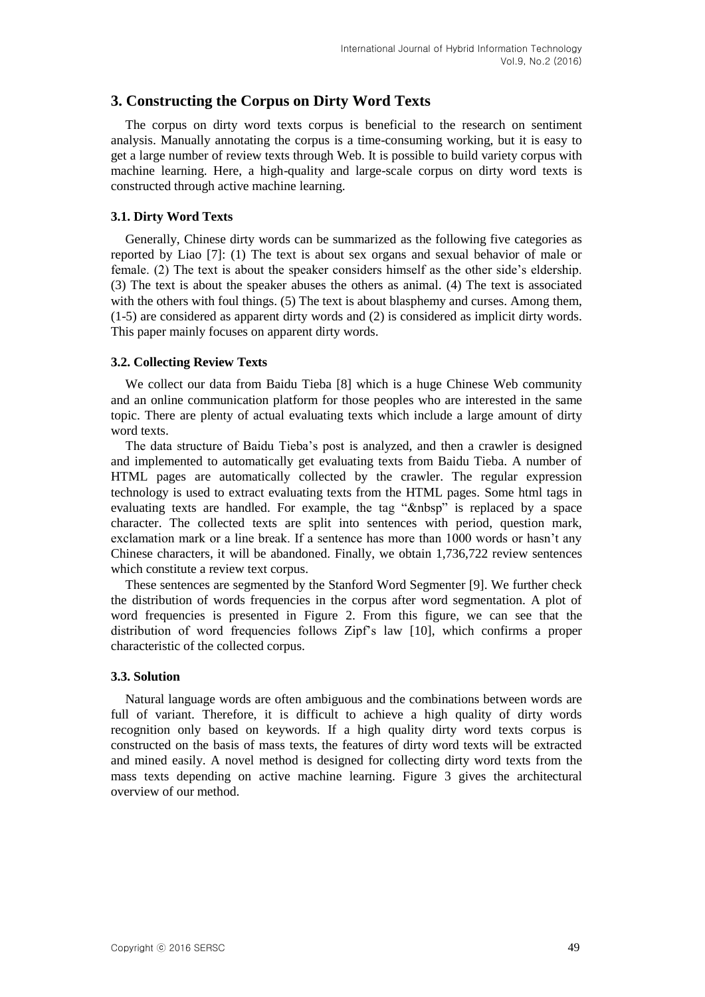## **3. Constructing the Corpus on Dirty Word Texts**

The corpus on dirty word texts corpus is beneficial to the research on sentiment analysis. Manually annotating the corpus is a time-consuming working, but it is easy to get a large number of review texts through Web. It is possible to build variety corpus with machine learning. Here, a high-quality and large-scale corpus on dirty word texts is constructed through active machine learning.

## **3.1. Dirty Word Texts**

Generally, Chinese dirty words can be summarized as the following five categories as reported by Liao [7]: (1) The text is about sex organs and sexual behavior of male or female. (2) The text is about the speaker considers himself as the other side"s eldership. (3) The text is about the speaker abuses the others as animal. (4) The text is associated with the others with foul things. (5) The text is about blasphemy and curses. Among them, (1-5) are considered as apparent dirty words and (2) is considered as implicit dirty words. This paper mainly focuses on apparent dirty words.

### **3.2. Collecting Review Texts**

We collect our data from Baidu Tieba [8] which is a huge Chinese Web community and an online communication platform for those peoples who are interested in the same topic. There are plenty of actual evaluating texts which include a large amount of dirty word texts.

The data structure of Baidu Tieba"s post is analyzed, and then a crawler is designed and implemented to automatically get evaluating texts from Baidu Tieba. A number of HTML pages are automatically collected by the crawler. The regular expression technology is used to extract evaluating texts from the HTML pages. Some html tags in evaluating texts are handled. For example, the tag "&nbsp" is replaced by a space character. The collected texts are split into sentences with period, question mark, exclamation mark or a line break. If a sentence has more than 1000 words or hasn"t any Chinese characters, it will be abandoned. Finally, we obtain 1,736,722 review sentences which constitute a review text corpus.

These sentences are segmented by the Stanford Word Segmenter [9]. We further check the distribution of words frequencies in the corpus after word segmentation. A plot of word frequencies is presented in Figure 2. From this figure, we can see that the distribution of word frequencies follows Zipf"s law [10], which confirms a proper characteristic of the collected corpus.

#### **3.3. Solution**

Natural language words are often ambiguous and the combinations between words are full of variant. Therefore, it is difficult to achieve a high quality of dirty words recognition only based on keywords. If a high quality dirty word texts corpus is constructed on the basis of mass texts, the features of dirty word texts will be extracted and mined easily. A novel method is designed for collecting dirty word texts from the mass texts depending on active machine learning. Figure 3 gives the architectural overview of our method.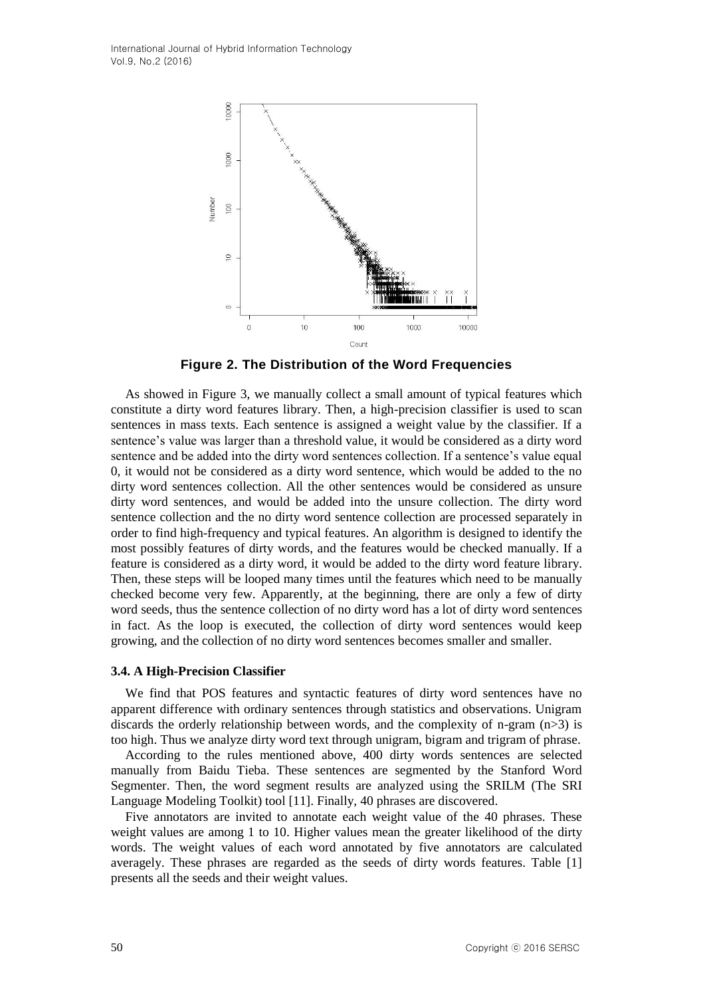International Journal of Hybrid Information Technology Vol.9, No.2 (2016)



**Figure 2. The Distribution of the Word Frequencies** 

As showed in Figure 3, we manually collect a small amount of typical features which constitute a dirty word features library. Then, a high-precision classifier is used to scan sentences in mass texts. Each sentence is assigned a weight value by the classifier. If a sentence"s value was larger than a threshold value, it would be considered as a dirty word sentence and be added into the dirty word sentences collection. If a sentence's value equal 0, it would not be considered as a dirty word sentence, which would be added to the no dirty word sentences collection. All the other sentences would be considered as unsure dirty word sentences, and would be added into the unsure collection. The dirty word sentence collection and the no dirty word sentence collection are processed separately in order to find high-frequency and typical features. An algorithm is designed to identify the most possibly features of dirty words, and the features would be checked manually. If a feature is considered as a dirty word, it would be added to the dirty word feature library. Then, these steps will be looped many times until the features which need to be manually checked become very few. Apparently, at the beginning, there are only a few of dirty word seeds, thus the sentence collection of no dirty word has a lot of dirty word sentences in fact. As the loop is executed, the collection of dirty word sentences would keep growing, and the collection of no dirty word sentences becomes smaller and smaller.

#### **3.4. A High-Precision Classifier**

We find that POS features and syntactic features of dirty word sentences have no apparent difference with ordinary sentences through statistics and observations. Unigram discards the orderly relationship between words, and the complexity of n-gram  $(n>3)$  is too high. Thus we analyze dirty word text through unigram, bigram and trigram of phrase.

According to the rules mentioned above, 400 dirty words sentences are selected manually from Baidu Tieba. These sentences are segmented by the Stanford Word Segmenter. Then, the word segment results are analyzed using the SRILM (The SRI Language Modeling Toolkit) tool [11]. Finally, 40 phrases are discovered.

Five annotators are invited to annotate each weight value of the 40 phrases. These weight values are among 1 to 10. Higher values mean the greater likelihood of the dirty words. The weight values of each word annotated by five annotators are calculated averagely. These phrases are regarded as the seeds of dirty words features. Table [1] presents all the seeds and their weight values.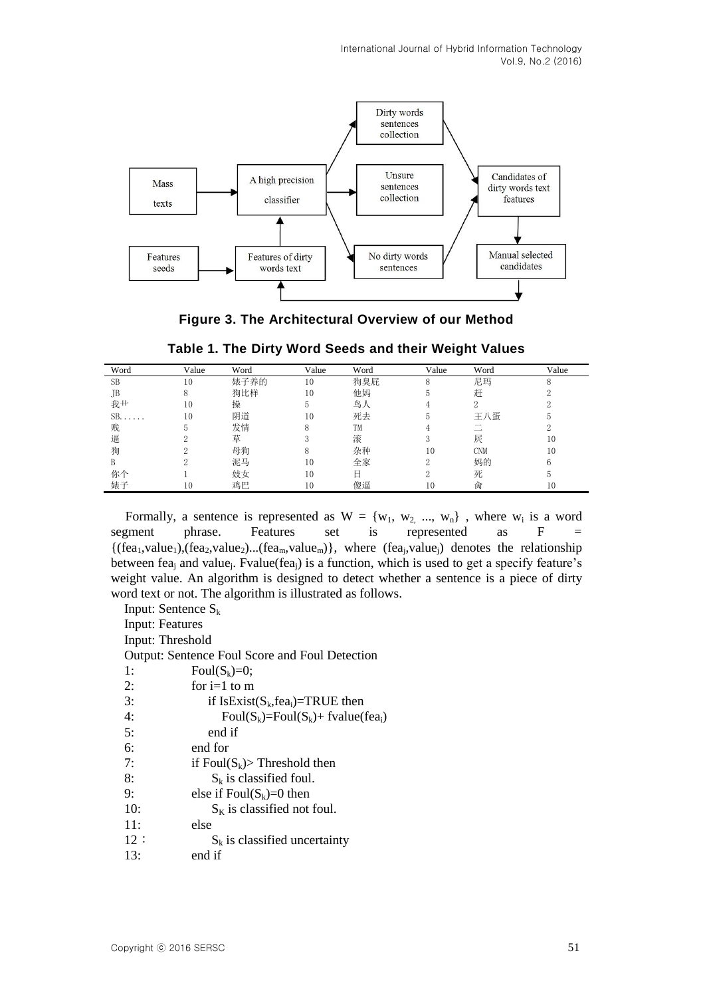International Journal of Hybrid Information Technology Vol.9, No.2 (2016)



**Figure 3. The Architectural Overview of our Method**

| Word           | Value | Word | Value | Word | Value | Word       | Value |
|----------------|-------|------|-------|------|-------|------------|-------|
| <b>SB</b>      | 10    | 婊子养的 | 10    | 狗臭屁  | 8     | 尼玛         |       |
| JB.            | 8     | 狗比样  | 10    | 他妈   | G.    | 赶          |       |
| 我艹             | 10    | 操    | Ð     | 鸟人   |       |            |       |
| $SB. \ldots$ . | 10    | 阴道   | 10    | 死去   |       | 王八蛋        |       |
| 贱              | Ð     | 发情   | 8     | TM   |       |            |       |
| 逼              |       | 草    |       | 滚    |       | 屄          | 10    |
| 狗              |       | 母狗   |       | 杂种   | 10    | <b>CNM</b> | 10    |
| B              |       | 泥马   | 10    | 全家   | າ     | 妈的         | 6     |
| 你个             |       | 妓女   | 10    |      |       | 死          | 5.    |
| 婊子             | 10    | 鸡巴   | 10    | 傻逼   | 10    | 肏          | 10    |

| Table 1. The Dirty Word Seeds and their Weight Values |  |  |  |  |  |  |  |
|-------------------------------------------------------|--|--|--|--|--|--|--|
|-------------------------------------------------------|--|--|--|--|--|--|--|

Formally, a sentence is represented as  $W = \{w_1, w_2, ..., w_n\}$ , where  $w_i$  is a word segment phrase. Features set is represented as F  $\{(fea_1, value_1), (fea_2, value_2)...(fea_m, value_m)\},$  where  $(fea_j, value_j)$  denotes the relationship between fea<sub>j</sub> and value<sub>j</sub>. Fvalue(fea<sub>j</sub>) is a function, which is used to get a specify feature's weight value. An algorithm is designed to detect whether a sentence is a piece of dirty word text or not. The algorithm is illustrated as follows.

Input: Sentence  $S_k$ 

Input: Features

Input: Threshold

Output: Sentence Foul Score and Foul Detection

- 1: Foul $(S_k)=0$ ;
- 2: for  $i=1$  to m

- 4: Foul $(S_k)$ =Foul $(S_k)$ + fvalue(fea<sub>i</sub>)
- 5: end if
- 6: end for
- 7: if  $Foul(S_k)$ > Threshold then
- 8:  $S_k$  is classified foul.
- 9: else if  $Foul(S_k)=0$  then
- 10:  $S_K$  is classified not foul.
- 11: else
- $12: S_k$  is classified uncertainty
- 13: end if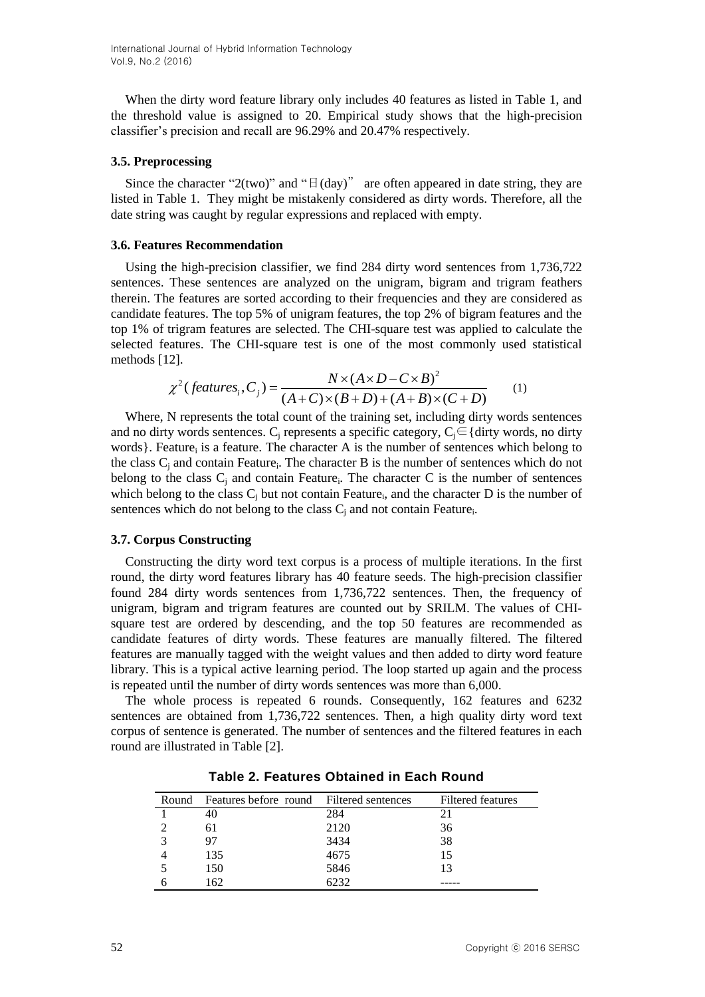International Journal of Hybrid Information Technology Vol.9, No.2 (2016)

When the dirty word feature library only includes 40 features as listed in Table 1, and the threshold value is assigned to 20. Empirical study shows that the high-precision classifier"s precision and recall are 96.29% and 20.47% respectively.

#### **3.5. Preprocessing**

Since the character "2(two)" and " $\exists$  (day)" are often appeared in date string, they are listed in Table 1. They might be mistakenly considered as dirty words. Therefore, all the date string was caught by regular expressions and replaced with empty.

#### **3.6. Features Recommendation**

Using the high-precision classifier, we find 284 dirty word sentences from 1,736,722 sentences. These sentences are analyzed on the unigram, bigram and trigram feathers therein. The features are sorted according to their frequencies and they are considered as candidate features. The top 5% of unigram features, the top 2% of bigram features and the top 1% of trigram features are selected. The CHI-square test was applied to calculate the selected features. The CHI-square test is one of the most commonly used statistical methods [12].<br>  $\chi^2$  (*features<sub>i</sub>*, *C<sub>j</sub>*) =  $\frac{N \times (A \times D - C \times B)^2}{(A + C) \times (B + D) + (A + B) \times (C + D)}$  (1) methods [12].

$$
\chi^{2}(features_i, C_j) = \frac{N \times (A \times D - C \times B)^2}{(A + C) \times (B + D) + (A + B) \times (C + D)}
$$
(1)

Where, N represents the total count of the training set, including dirty words sentences and no dirty words sentences. C<sub>i</sub> represents a specific category,  $C_i \in \{$  dirty words, no dirty words}. Feature<sub>i</sub> is a feature. The character A is the number of sentences which belong to the class  $C_j$  and contain Feature<sub>i</sub>. The character B is the number of sentences which do not belong to the class  $C_j$  and contain Feature<sub>i</sub>. The character C is the number of sentences which belong to the class  $C_j$  but not contain Feature<sub>i</sub>, and the character D is the number of sentences which do not belong to the class  $C_j$  and not contain Feature<sub>i</sub>.

#### **3.7. Corpus Constructing**

Constructing the dirty word text corpus is a process of multiple iterations. In the first round, the dirty word features library has 40 feature seeds. The high-precision classifier found 284 dirty words sentences from 1,736,722 sentences. Then, the frequency of unigram, bigram and trigram features are counted out by SRILM. The values of CHIsquare test are ordered by descending, and the top 50 features are recommended as candidate features of dirty words. These features are manually filtered. The filtered features are manually tagged with the weight values and then added to dirty word feature library. This is a typical active learning period. The loop started up again and the process is repeated until the number of dirty words sentences was more than 6,000.

The whole process is repeated 6 rounds. Consequently, 162 features and 6232 sentences are obtained from 1,736,722 sentences. Then, a high quality dirty word text corpus of sentence is generated. The number of sentences and the filtered features in each round are illustrated in Table [2].

| Round | Features before round Filtered sentences |      | Filtered features |
|-------|------------------------------------------|------|-------------------|
|       | 40                                       | 284  | 21                |
|       | 61                                       | 2120 | 36                |
|       | 97                                       | 3434 | 38                |
|       | 135                                      | 4675 | 15                |
|       | 150                                      | 5846 | 13                |
|       | 162                                      | 6232 |                   |

**Table 2. Features Obtained in Each Round**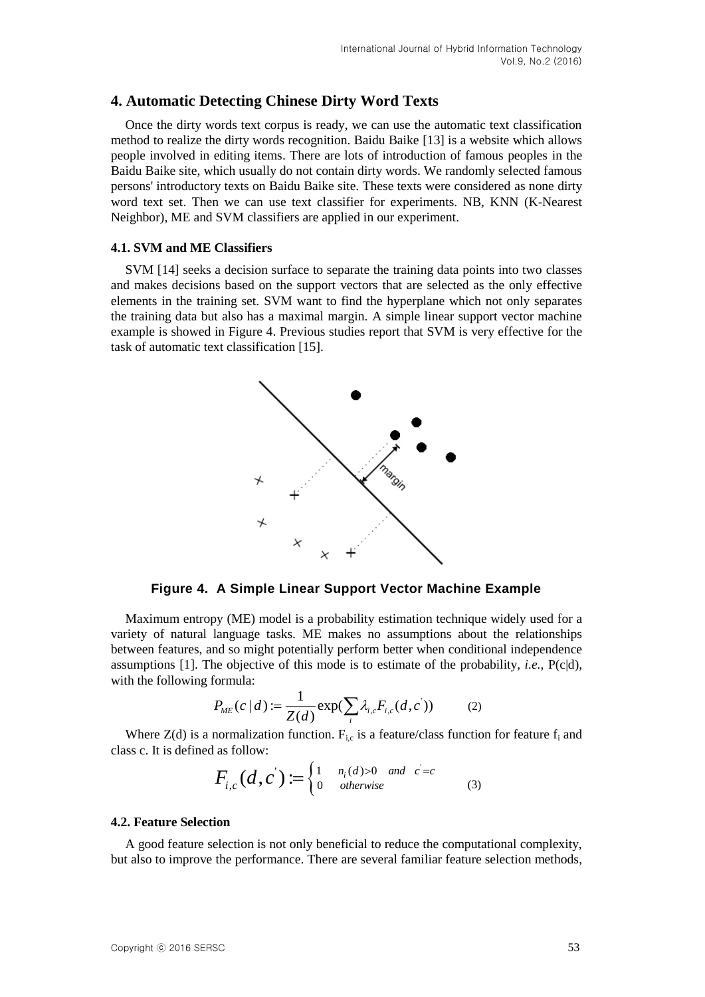## **4. Automatic Detecting Chinese Dirty Word Texts**

Once the dirty words text corpus is ready, we can use the automatic text classification method to realize the dirty words recognition. Baidu Baike [13] is a website which allows people involved in editing items. There are lots of introduction of famous peoples in the Baidu Baike site, which usually do not contain dirty words. We randomly selected famous persons' introductory texts on Baidu Baike site. These texts were considered as none dirty word text set. Then we can use text classifier for experiments. NB, KNN (K-Nearest Neighbor), ME and SVM classifiers are applied in our experiment.

#### **4.1. SVM and ME Classifiers**

SVM [14] seeks a decision surface to separate the training data points into two classes and makes decisions based on the support vectors that are selected as the only effective elements in the training set. SVM want to find the hyperplane which not only separates the training data but also has a maximal margin. A simple linear support vector machine example is showed in Figure 4. Previous studies report that SVM is very effective for the task of automatic text classification [15].



**Figure 4. A Simple Linear Support Vector Machine Example**

Maximum entropy (ME) model is a probability estimation technique widely used for a variety of natural language tasks. ME makes no assumptions about the relationships between features, and so might potentially perform better when conditional independence assumptions [1]. The objective of this mode is to estimate of the probability, *i.e.,* P(c|d), with the following formula:

$$
P_{ME}(c | d) := \frac{1}{Z(d)} \exp(\sum_{i} \lambda_{i,c} F_{i,c}(d, c'))
$$
 (2)

Where  $Z(d)$  is a normalization function.  $F_{i,c}$  is a feature/class function for feature  $f_i$  and class c. It is defined as follow:

$$
F_{i,c}(d,c') := \begin{cases} 1 & n_i(d) > 0 \text{ and } c = c \\ 0 & otherwise \end{cases}
$$
 (3)

### **4.2. Feature Selection**

A good feature selection is not only beneficial to reduce the computational complexity, but also to improve the performance. There are several familiar feature selection methods,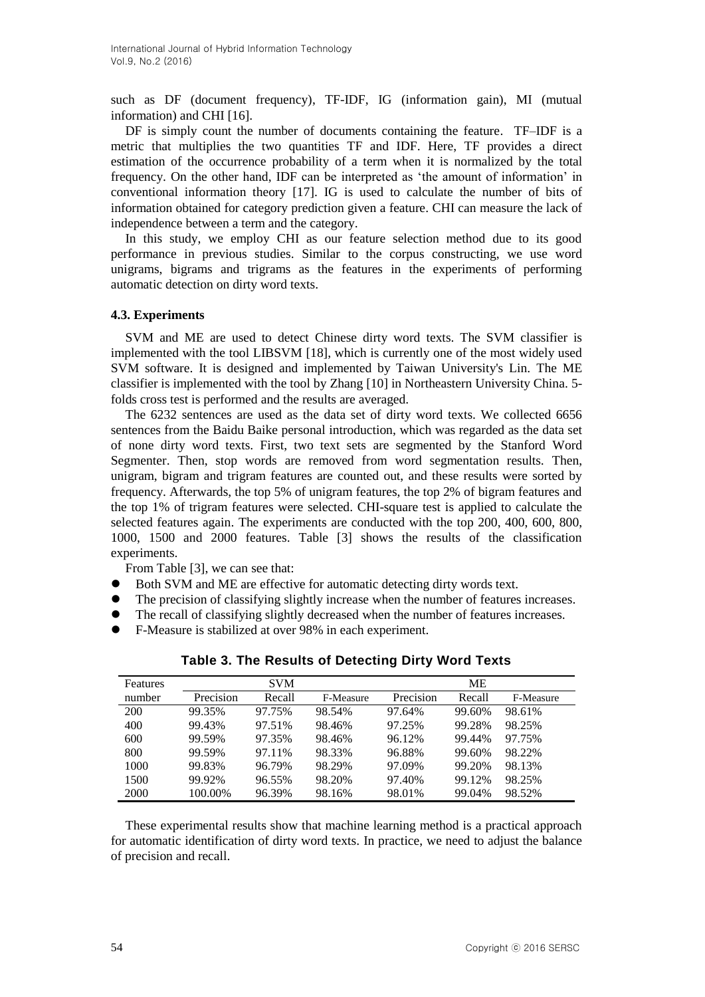such as DF (document frequency), TF-IDF, IG (information gain), MI (mutual information) and CHI [16].

DF is simply count the number of documents containing the feature. TF–IDF is a metric that multiplies the two quantities TF and IDF. Here, TF provides a direct estimation of the occurrence probability of a term when it is normalized by the total frequency. On the other hand, IDF can be interpreted as "the amount of information" in conventional information theory [17]. IG is used to calculate the number of bits of information obtained for category prediction given a feature. CHI can measure the lack of independence between a term and the category.

In this study, we employ CHI as our feature selection method due to its good performance in previous studies. Similar to the corpus constructing, we use word unigrams, bigrams and trigrams as the features in the experiments of performing automatic detection on dirty word texts.

## **4.3. Experiments**

SVM and ME are used to detect Chinese dirty word texts. The SVM classifier is implemented with the tool LIBSVM [18], which is currently one of the most widely used SVM software. It is designed and implemented by Taiwan University's Lin. The ME classifier is implemented with the tool by Zhang [10] in Northeastern University China. 5 folds cross test is performed and the results are averaged.

The 6232 sentences are used as the data set of dirty word texts. We collected 6656 sentences from the Baidu Baike personal introduction, which was regarded as the data set of none dirty word texts. First, two text sets are segmented by the Stanford Word Segmenter. Then, stop words are removed from word segmentation results. Then, unigram, bigram and trigram features are counted out, and these results were sorted by frequency. Afterwards, the top 5% of unigram features, the top 2% of bigram features and the top 1% of trigram features were selected. CHI-square test is applied to calculate the selected features again. The experiments are conducted with the top 200, 400, 600, 800, 1000, 1500 and 2000 features. Table [3] shows the results of the classification experiments.

From Table [3], we can see that:

- Both SVM and ME are effective for automatic detecting dirty words text.
- The precision of classifying slightly increase when the number of features increases.
- The recall of classifying slightly decreased when the number of features increases.
- F-Measure is stabilized at over 98% in each experiment.

| Features |           | <b>SVM</b> |           |           | ME     |           |
|----------|-----------|------------|-----------|-----------|--------|-----------|
| number   | Precision | Recall     | F-Measure | Precision | Recall | F-Measure |
| 200      | 99.35%    | 97.75%     | 98.54%    | 97.64%    | 99.60% | 98.61%    |
| 400      | 99.43%    | 97.51%     | 98.46%    | 97.25%    | 99.28% | 98.25%    |
| 600      | 99.59%    | 97.35%     | 98.46%    | 96.12%    | 99.44% | 97.75%    |
| 800      | 99.59%    | 97.11%     | 98.33%    | 96.88%    | 99.60% | 98.22%    |
| 1000     | 99.83%    | 96.79%     | 98.29%    | 97.09%    | 99.20% | 98.13%    |
| 1500     | 99.92%    | 96.55%     | 98.20%    | 97.40%    | 99.12% | 98.25%    |
| 2000     | 100.00%   | 96.39%     | 98.16%    | 98.01%    | 99.04% | 98.52%    |

**Table 3. The Results of Detecting Dirty Word Texts**

These experimental results show that machine learning method is a practical approach for automatic identification of dirty word texts. In practice, we need to adjust the balance of precision and recall.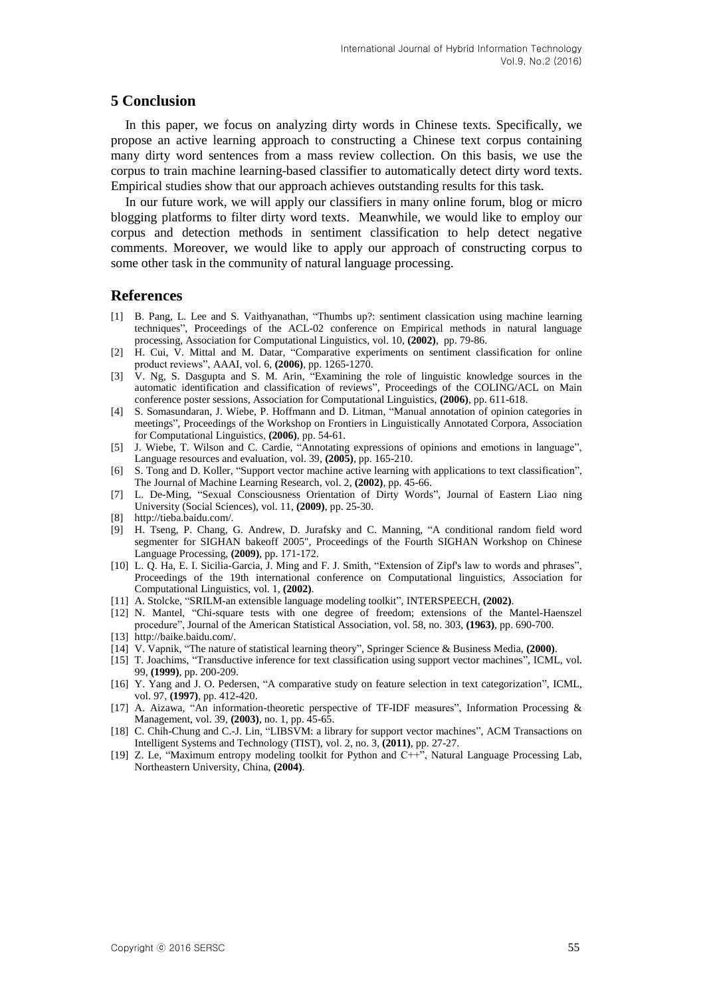## **5 Conclusion**

In this paper, we focus on analyzing dirty words in Chinese texts. Specifically, we propose an active learning approach to constructing a Chinese text corpus containing many dirty word sentences from a mass review collection. On this basis, we use the corpus to train machine learning-based classifier to automatically detect dirty word texts. Empirical studies show that our approach achieves outstanding results for this task.

In our future work, we will apply our classifiers in many online forum, blog or micro blogging platforms to filter dirty word texts. Meanwhile, we would like to employ our corpus and detection methods in sentiment classification to help detect negative comments. Moreover, we would like to apply our approach of constructing corpus to some other task in the community of natural language processing.

## **References**

- [1] B. Pang, L. Lee and S. Vaithyanathan, "Thumbs up?: sentiment classication using machine learning techniques", Proceedings of the ACL-02 conference on Empirical methods in natural language processing, Association for Computational Linguistics, vol. 10, **(2002)**, pp. 79-86.
- [2] H. Cui, V. Mittal and M. Datar, "Comparative experiments on sentiment classification for online product reviews", AAAI, vol. 6, **(2006)**, pp. 1265-1270.
- [3] V. Ng, S. Dasgupta and S. M. Arin, "Examining the role of linguistic knowledge sources in the automatic identification and classification of reviews", Proceedings of the COLING/ACL on Main conference poster sessions, Association for Computational Linguistics, **(2006)**, pp. 611-618.
- [4] S. Somasundaran, J. Wiebe, P. Hoffmann and D. Litman, "Manual annotation of opinion categories in meetings", Proceedings of the Workshop on Frontiers in Linguistically Annotated Corpora, Association for Computational Linguistics, **(2006)**, pp. 54-61.
- [5] J. Wiebe, T. Wilson and C. Cardie, "Annotating expressions of opinions and emotions in language", Language resources and evaluation, vol. 39, **(2005)**, pp. 165-210.
- [6] S. Tong and D. Koller, "Support vector machine active learning with applications to text classification", The Journal of Machine Learning Research, vol. 2, **(2002)**, pp. 45-66.
- [7] L. De-Ming, "Sexual Consciousness Orientation of Dirty Words", Journal of Eastern Liao ning University (Social Sciences), vol. 11, **(2009)**, pp. 25-30.
- [8] http://tieba.baidu.com/.
- [9] H. Tseng, P. Chang, G. Andrew, D. Jurafsky and C. Manning, "A conditional random field word segmenter for SIGHAN bakeoff 2005", Proceedings of the Fourth SIGHAN Workshop on Chinese Language Processing, **(2009)**, pp. 171-172.
- [10] L. Q. Ha, E. I. Sicilia-Garcia, J. Ming and F. J. Smith, "Extension of Zipf's law to words and phrases", Proceedings of the 19th international conference on Computational linguistics, Association for Computational Linguistics, vol. 1, **(2002)**.
- [11] A. Stolcke, "SRILM-an extensible language modeling toolkit", INTERSPEECH, **(2002)**.
- [12] N. Mantel, "Chi-square tests with one degree of freedom; extensions of the Mantel-Haenszel procedure", Journal of the American Statistical Association, vol. 58, no. 303, **(1963)**, pp. 690-700.
- [13] http://baike.baidu.com/.
- [14] V. Vapnik, "The nature of statistical learning theory", Springer Science & Business Media, **(2000)**.
- [15] T. Joachims, "Transductive inference for text classification using support vector machines", ICML, vol. 99, **(1999)**, pp. 200-209.
- [16] Y. Yang and J. O. Pedersen, "A comparative study on feature selection in text categorization", ICML, vol. 97, **(1997)**, pp. 412-420.
- [17] A. Aizawa, "An information-theoretic perspective of TF-IDF measures", Information Processing & Management, vol. 39, **(2003)**, no. 1, pp. 45-65.
- [18] C. Chih-Chung and C.-J. Lin, "LIBSVM: a library for support vector machines", ACM Transactions on Intelligent Systems and Technology (TIST), vol. 2, no. 3, **(2011)**, pp. 27-27.
- [19] Z. Le, "Maximum entropy modeling toolkit for Python and C++", Natural Language Processing Lab, Northeastern University, China, **(2004)**.